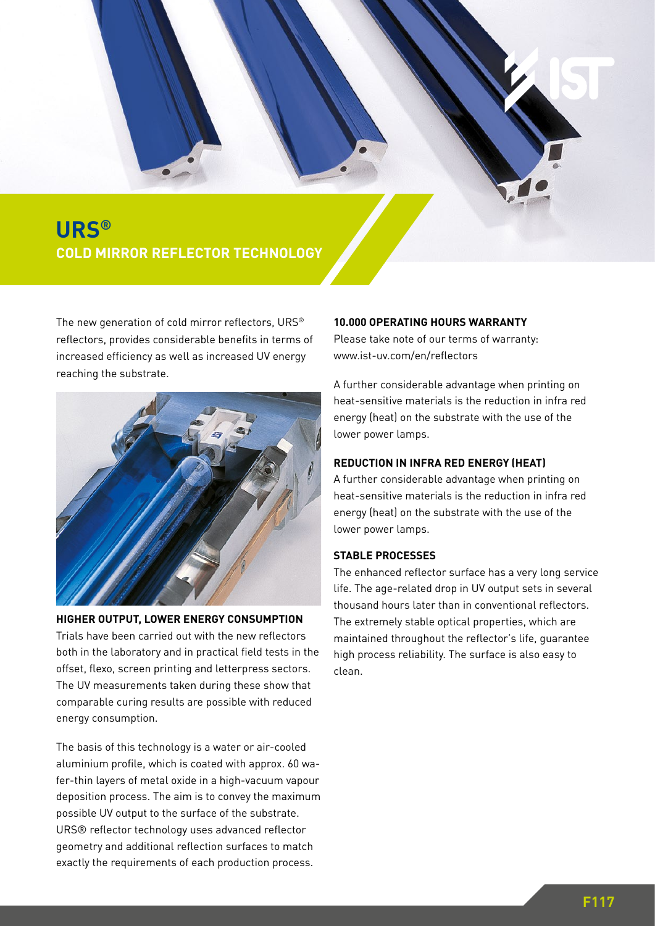

**SUBLIME DE PRODUCTION ZULD** HIMM **COLD MIRROR REFLECTOR TECHNOLOGY**

The new generation of cold mirror reflectors, URS® reflectors, provides considerable benefits in terms of increased efficiency as well as increased UV energy reaching the substrate.



**HIGHER OUTPUT, LOWER ENERGY CONSUMPTION** Trials have been carried out with the new reflectors both in the laboratory and in practical field tests in the offset, flexo, screen printing and letterpress sectors. The UV measurements taken during these show that comparable curing results are possible with reduced energy consumption.

The basis of this technology is a water or air-cooled aluminium profile, which is coated with approx. 60 wafer-thin layers of metal oxide in a high-vacuum vapour deposition process. The aim is to convey the maximum possible UV output to the surface of the substrate. URS® reflector technology uses advanced reflector geometry and additional reflection surfaces to match exactly the requirements of each production process.

# **10.000 OPERATING HOURS WARRANTY**

Please take note of our terms of warranty: www.ist-uv.com/en/reflectors

A further considerable advantage when printing on heat-sensitive materials is the reduction in infra red energy (heat) on the substrate with the use of the lower power lamps.

#### **REDUCTION IN INFRA RED ENERGY (HEAT)**

A further considerable advantage when printing on heat-sensitive materials is the reduction in infra red energy (heat) on the substrate with the use of the lower power lamps.

### **STABLE PROCESSES**

The enhanced reflector surface has a very long service life. The age-related drop in UV output sets in several thousand hours later than in conventional reflectors. The extremely stable optical properties, which are maintained throughout the reflector's life, guarantee high process reliability. The surface is also easy to clean.